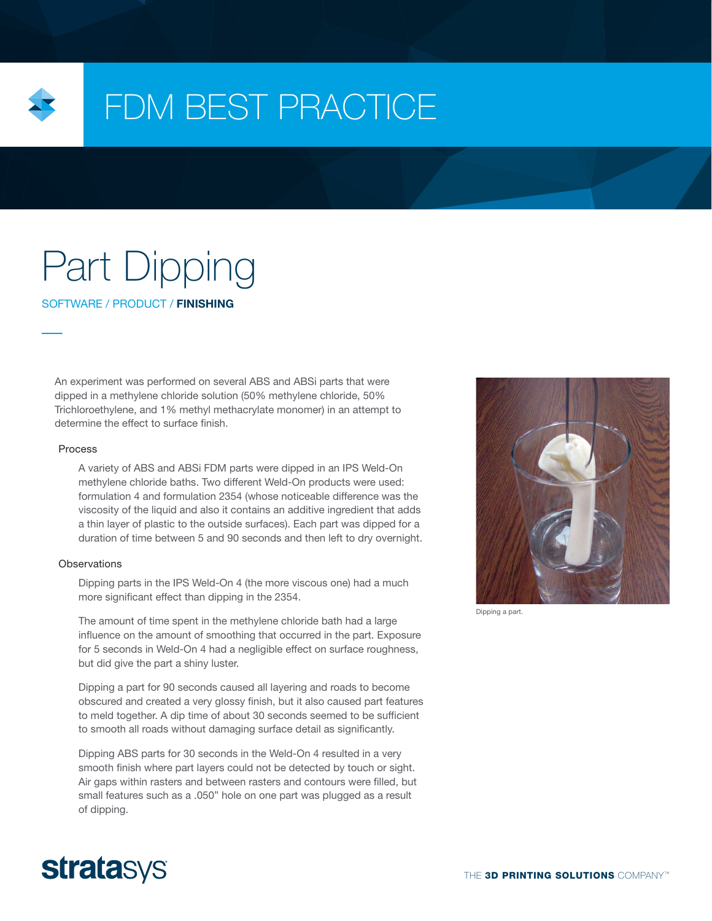

## FDM BEST PRACTICE

# Part Dipping

SOFTWARE / PRODUCT / FINISHING

An experiment was performed on several ABS and ABSi parts that were dipped in a methylene chloride solution (50% methylene chloride, 50% Trichloroethylene, and 1% methyl methacrylate monomer) in an attempt to determine the effect to surface finish.

#### Process

A variety of ABS and ABSi FDM parts were dipped in an IPS Weld-On methylene chloride baths. Two different Weld-On products were used: formulation 4 and formulation 2354 (whose noticeable difference was the viscosity of the liquid and also it contains an additive ingredient that adds a thin layer of plastic to the outside surfaces). Each part was dipped for a duration of time between 5 and 90 seconds and then left to dry overnight.

#### **Observations**

Dipping parts in the IPS Weld-On 4 (the more viscous one) had a much more significant effect than dipping in the 2354.

The amount of time spent in the methylene chloride bath had a large influence on the amount of smoothing that occurred in the part. Exposure for 5 seconds in Weld-On 4 had a negligible effect on surface roughness, but did give the part a shiny luster.

Dipping a part for 90 seconds caused all layering and roads to become obscured and created a very glossy finish, but it also caused part features to meld together. A dip time of about 30 seconds seemed to be sufficient to smooth all roads without damaging surface detail as significantly.

Dipping ABS parts for 30 seconds in the Weld-On 4 resulted in a very smooth finish where part layers could not be detected by touch or sight. Air gaps within rasters and between rasters and contours were filled, but small features such as a .050" hole on one part was plugged as a result of dipping.



Dipping a part.

### **stratasys**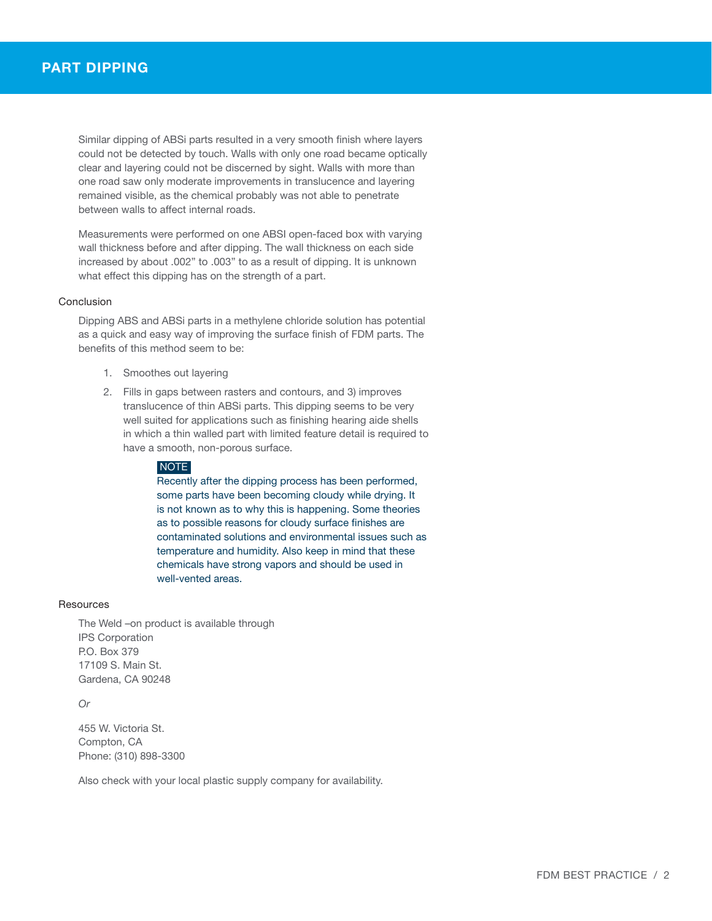Similar dipping of ABSi parts resulted in a very smooth finish where layers could not be detected by touch. Walls with only one road became optically clear and layering could not be discerned by sight. Walls with more than one road saw only moderate improvements in translucence and layering remained visible, as the chemical probably was not able to penetrate between walls to affect internal roads.

Measurements were performed on one ABSI open-faced box with varying wall thickness before and after dipping. The wall thickness on each side increased by about .002" to .003" to as a result of dipping. It is unknown what effect this dipping has on the strength of a part.

#### Conclusion

Dipping ABS and ABSi parts in a methylene chloride solution has potential as a quick and easy way of improving the surface finish of FDM parts. The benefits of this method seem to be:

- 1. Smoothes out layering
- 2. Fills in gaps between rasters and contours, and 3) improves translucence of thin ABSi parts. This dipping seems to be very well suited for applications such as finishing hearing aide shells in which a thin walled part with limited feature detail is required to have a smooth, non-porous surface.

#### NOTE

Recently after the dipping process has been performed, some parts have been becoming cloudy while drying. It is not known as to why this is happening. Some theories as to possible reasons for cloudy surface finishes are contaminated solutions and environmental issues such as temperature and humidity. Also keep in mind that these chemicals have strong vapors and should be used in well-vented areas.

#### **Resources**

The Weld –on product is available through IPS Corporation P.O. Box 379 17109 S. Main St. Gardena, CA 90248

*Or*

455 W. Victoria St. Compton, CA Phone: (310) 898-3300

Also check with your local plastic supply company for availability.